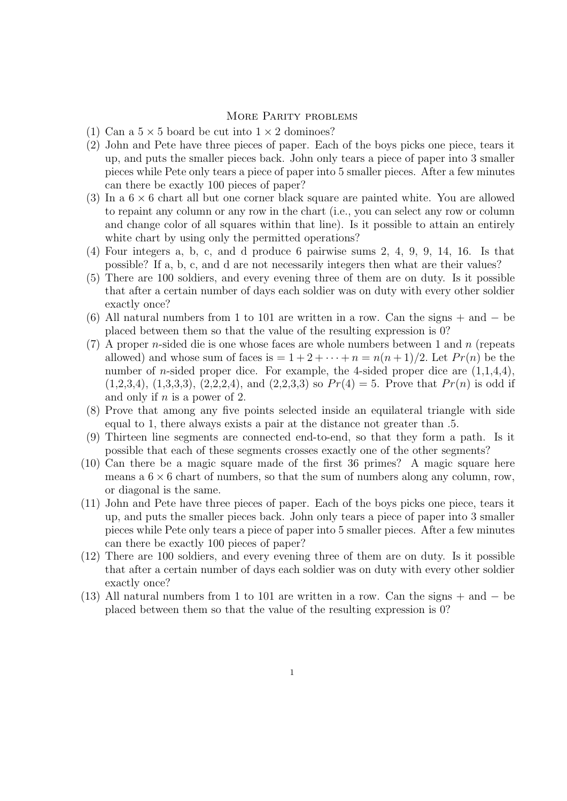## More Parity problems

- (1) Can a  $5 \times 5$  board be cut into  $1 \times 2$  dominoes?
- (2) John and Pete have three pieces of paper. Each of the boys picks one piece, tears it up, and puts the smaller pieces back. John only tears a piece of paper into 3 smaller pieces while Pete only tears a piece of paper into 5 smaller pieces. After a few minutes can there be exactly 100 pieces of paper?
- (3) In a 6 *×* 6 chart all but one corner black square are painted white. You are allowed to repaint any column or any row in the chart (i.e., you can select any row or column and change color of all squares within that line). Is it possible to attain an entirely white chart by using only the permitted operations?
- (4) Four integers a, b, c, and d produce 6 pairwise sums 2, 4, 9, 9, 14, 16. Is that possible? If a, b, c, and d are not necessarily integers then what are their values?
- (5) There are 100 soldiers, and every evening three of them are on duty. Is it possible that after a certain number of days each soldier was on duty with every other soldier exactly once?
- (6) All natural numbers from 1 to 101 are written in a row. Can the signs + and *−* be placed between them so that the value of the resulting expression is 0?
- (7) A proper *n*-sided die is one whose faces are whole numbers between 1 and *n* (repeats allowed) and whose sum of faces is  $= 1 + 2 + \cdots + n = n(n+1)/2$ . Let  $Pr(n)$  be the number of *n*-sided proper dice. For example, the 4-sided proper dice are  $(1,1,4,4)$ ,  $(1,2,3,4), (1,3,3,3), (2,2,2,4),$  and  $(2,2,3,3)$  so  $Pr(4) = 5$ . Prove that  $Pr(n)$  is odd if and only if *n* is a power of 2.
- (8) Prove that among any five points selected inside an equilateral triangle with side equal to 1, there always exists a pair at the distance not greater than .5.
- (9) Thirteen line segments are connected end-to-end, so that they form a path. Is it possible that each of these segments crosses exactly one of the other segments?
- (10) Can there be a magic square made of the first 36 primes? A magic square here means a  $6 \times 6$  chart of numbers, so that the sum of numbers along any column, row, or diagonal is the same.
- (11) John and Pete have three pieces of paper. Each of the boys picks one piece, tears it up, and puts the smaller pieces back. John only tears a piece of paper into 3 smaller pieces while Pete only tears a piece of paper into 5 smaller pieces. After a few minutes can there be exactly 100 pieces of paper?
- (12) There are 100 soldiers, and every evening three of them are on duty. Is it possible that after a certain number of days each soldier was on duty with every other soldier exactly once?
- (13) All natural numbers from 1 to 101 are written in a row. Can the signs + and *−* be placed between them so that the value of the resulting expression is 0?